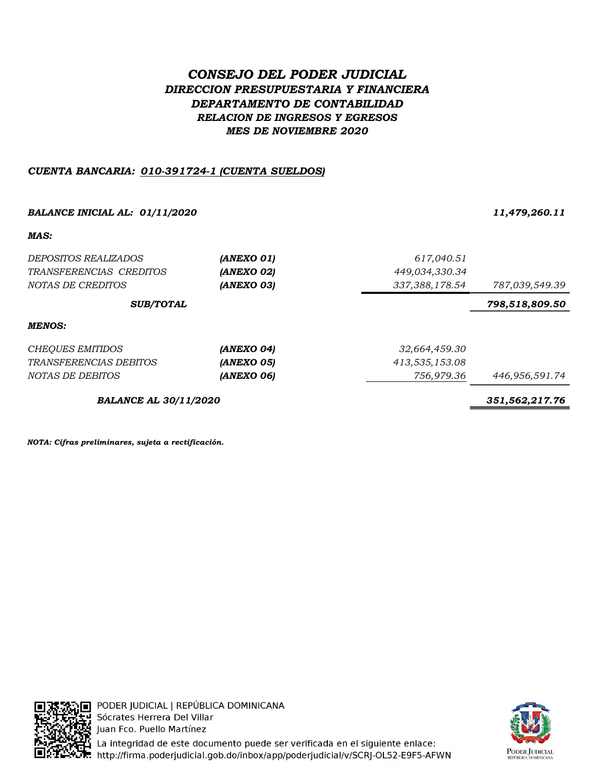# CONSEJO DEL PODER JUDICIAL DIRECCION PRESUPUESTARIA Y FINANCIERA DEPARTAMENTO DE CONTABILIDAD RELACION DE INGRESOS Y EGRESOS MES DE NOVIEMBRE 2020

## CUENTA BANCARIA: 010-391724-1 (CUENTA SUELDOS)

BALANCE INICIAL AL: 01/11/2020 11,479,260.11

MAS:

| <i>DEPOSITOS REALIZADOS</i><br>TRANSFERENCIAS CREDITOS<br>NOTAS DE CREDITOS | (ANEXO 01)<br><b>(ANEXO 02)</b><br>(ANEXO 03) | 617,040.51<br>449,034,330.34<br>337,388,178.54 | 787,039,549.39 |
|-----------------------------------------------------------------------------|-----------------------------------------------|------------------------------------------------|----------------|
| <b>SUB/TOTAL</b>                                                            | 798,518,809.50                                |                                                |                |
| MENOS:                                                                      |                                               |                                                |                |
| CHEQUES EMITIDOS                                                            | (ANEXO 04)                                    | 32,664,459.30                                  |                |
| <b>TRANSFERENCIAS DEBITOS</b>                                               | <b>(ANEXO 05)</b>                             | 413,535,153.08                                 |                |
| NOTAS DE DEBITOS                                                            | (ANEXO 06)                                    | 756,979.36                                     | 446,956,591.74 |
| <b>BALANCE AL 30/11/2020</b>                                                | 351,562,217.76                                |                                                |                |

NOTA: Cifras preliminares, sujeta a rectificación.



PODER JUDICIAL | REPÚBLICA DOMINICANA Sócrates Herrera Del Villar Juan Fco. Puello Martínez



**i** La integridad de este documento puede ser verificada en el siguiente enlace:<br>.. http://firma.poderjudicial.gob.do/inbox/app/poderjudicial/v/SCRJ-OL52-E9F5-AFWN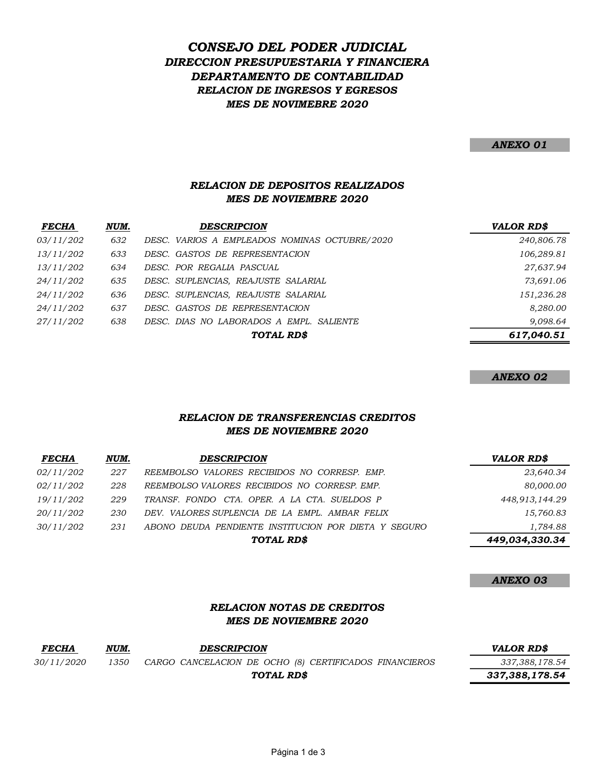# DIRECCION PRESUPUESTARIA Y FINANCIERA DEPARTAMENTO DE CONTABILIDAD CONSEJO DEL PODER JUDICIAL RELACION DE INGRESOS Y EGRESOS MES DE NOVIMEBRE 2020

#### ANEXO 01

## RELACION DE DEPOSITOS REALIZADOS MES DE NOVIEMBRE 2020

| <i>FECHA</i> | NUM. | <b>DESCRIPCION</b>                            | <b>VALOR RD\$</b> |
|--------------|------|-----------------------------------------------|-------------------|
| 03/11/202    | 632  | DESC. VARIOS A EMPLEADOS NOMINAS OCTUBRE/2020 | 240,806.78        |
| 13/11/202    | 633  | DESC. GASTOS DE REPRESENTACION                | 106,289.81        |
| 13/11/202    | 634  | DESC. POR REGALIA PASCUAL                     | 27,637.94         |
| 24/11/202    | 635  | DESC. SUPLENCIAS, REAJUSTE SALARIAL           | 73,691.06         |
| 24/11/202    | 636  | DESC. SUPLENCIAS, REAJUSTE SALARIAL           | 151,236.28        |
| 24/11/202    | 637  | DESC. GASTOS DE REPRESENTACION                | 8,280.00          |
| 27/11/202    | 638  | DESC. DIAS NO LABORADOS A EMPL. SALIENTE      | 9,098.64          |
|              |      | TOTAL RD\$                                    | 617,040.51        |

#### ANEXO 02

## RELACION DE TRANSFERENCIAS CREDITOS MES DE NOVIEMBRE 2020

| <b>FECHA</b>     | NUM. | <b>DESCRIPCION</b>                                   | <b>VALOR RD\$</b> |
|------------------|------|------------------------------------------------------|-------------------|
| <i>02/11/202</i> | 227  | REEMBOLSO VALORES RECIBIDOS NO CORRESP. EMP.         | 23,640.34         |
| 02/11/202        | 228  | REEMBOLSO VALORES RECIBIDOS NO CORRESP. EMP.         | 80,000.00         |
| 19/11/202        | 229  | TRANSF. FONDO CTA, OPER, A LA CTA, SUELDOS P         | 448,913,144.29    |
| 20/11/202        | 230  | DEV. VALORES SUPLENCIA DE LA EMPL. AMBAR FELIX       | 15,760.83         |
| 30/11/202        | 231  | ABONO DEUDA PENDIENTE INSTITUCION POR DIETA Y SEGURO | 1,784.88          |
|                  |      | TOTAL RD\$                                           | 449,034,330.34    |

### ANEXO 03

## RELACION NOTAS DE CREDITOS MES DE NOVIEMBRE 2020

| <b>FECHA</b> | NUM. | <b>DESCRIPCION</b>                                     | <i><b>VALOR RDS</b></i> |
|--------------|------|--------------------------------------------------------|-------------------------|
| 30/11/2020   | 1350 | CARGO CANCELACION DE OCHO (8) CERTIFICADOS FINANCIEROS | 337,388,178.54          |
|              |      | TOTAL RD\$                                             | 337,388,178.54          |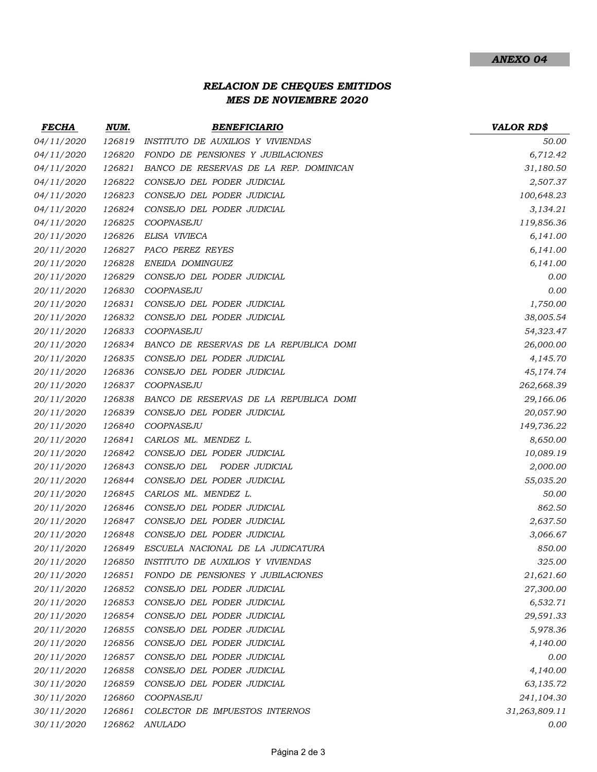## RELACION DE CHEQUES EMITIDOS MES DE NOVIEMBRE 2020

| <i>FECHA</i> | NUM.   | <b>BENEFICIARIO</b>                    | <b>VALOR RD\$</b> |
|--------------|--------|----------------------------------------|-------------------|
| 04/11/2020   | 126819 | INSTITUTO DE AUXILIOS Y VIVIENDAS      | 50.00             |
| 04/11/2020   | 126820 | FONDO DE PENSIONES Y JUBILACIONES      | 6,712.42          |
| 04/11/2020   | 126821 | BANCO DE RESERVAS DE LA REP. DOMINICAN | 31,180.50         |
| 04/11/2020   | 126822 | CONSEJO DEL PODER JUDICIAL             | 2,507.37          |
| 04/11/2020   | 126823 | CONSEJO DEL PODER JUDICIAL             | 100,648.23        |
| 04/11/2020   | 126824 | CONSEJO DEL PODER JUDICIAL             | 3,134.21          |
| 04/11/2020   | 126825 | COOPNASEJU                             | 119,856.36        |
| 20/11/2020   | 126826 | ELISA VIVIECA                          | 6,141.00          |
| 20/11/2020   | 126827 | PACO PEREZ REYES                       | 6,141.00          |
| 20/11/2020   | 126828 | ENEIDA DOMINGUEZ                       | 6,141.00          |
| 20/11/2020   | 126829 | CONSEJO DEL PODER JUDICIAL             | 0.00              |
| 20/11/2020   | 126830 | COOPNASEJU                             | 0.00              |
| 20/11/2020   | 126831 | CONSEJO DEL PODER JUDICIAL             | 1,750.00          |
| 20/11/2020   | 126832 | CONSEJO DEL PODER JUDICIAL             | 38,005.54         |
| 20/11/2020   | 126833 | COOPNASEJU                             | 54,323.47         |
| 20/11/2020   | 126834 | BANCO DE RESERVAS DE LA REPUBLICA DOMI | 26,000.00         |
| 20/11/2020   | 126835 | CONSEJO DEL PODER JUDICIAL             | 4,145.70          |
| 20/11/2020   | 126836 | CONSEJO DEL PODER JUDICIAL             | 45,174.74         |
| 20/11/2020   | 126837 | COOPNASEJU                             | 262,668.39        |
| 20/11/2020   | 126838 | BANCO DE RESERVAS DE LA REPUBLICA DOMI | 29,166.06         |
| 20/11/2020   | 126839 | CONSEJO DEL PODER JUDICIAL             | 20,057.90         |
| 20/11/2020   | 126840 | COOPNASEJU                             | 149,736.22        |
| 20/11/2020   | 126841 | CARLOS ML. MENDEZ L.                   | 8,650.00          |
| 20/11/2020   | 126842 | CONSEJO DEL PODER JUDICIAL             | 10,089.19         |
| 20/11/2020   | 126843 | CONSEJO DEL<br>PODER JUDICIAL          | 2,000.00          |
| 20/11/2020   | 126844 | CONSEJO DEL PODER JUDICIAL             | 55,035.20         |
| 20/11/2020   | 126845 | CARLOS ML. MENDEZ L.                   | 50.00             |
| 20/11/2020   | 126846 | CONSEJO DEL PODER JUDICIAL             | 862.50            |
| 20/11/2020   | 126847 | CONSEJO DEL PODER JUDICIAL             | 2,637.50          |
| 20/11/2020   | 126848 | CONSEJO DEL PODER JUDICIAL             | 3,066.67          |
| 20/11/2020   | 126849 | ESCUELA NACIONAL DE LA JUDICATURA      | 850.00            |
| 20/11/2020   | 126850 | INSTITUTO DE AUXILIOS Y VIVIENDAS      | 325.00            |
| 20/11/2020   | 126851 | FONDO DE PENSIONES Y JUBILACIONES      | 21,621.60         |
| 20/11/2020   | 126852 | CONSEJO DEL PODER JUDICIAL             | 27,300.00         |
| 20/11/2020   | 126853 | CONSEJO DEL PODER JUDICIAL             | 6,532.71          |
| 20/11/2020   | 126854 | CONSEJO DEL PODER JUDICIAL             | 29,591.33         |
| 20/11/2020   | 126855 | CONSEJO DEL PODER JUDICIAL             | 5,978.36          |
| 20/11/2020   | 126856 | CONSEJO DEL PODER JUDICIAL             | 4,140.00          |
| 20/11/2020   | 126857 | CONSEJO DEL PODER JUDICIAL             | 0.00              |
| 20/11/2020   | 126858 | CONSEJO DEL PODER JUDICIAL             | 4,140.00          |
| 30/11/2020   | 126859 | CONSEJO DEL PODER JUDICIAL             | 63,135.72         |
| 30/11/2020   | 126860 | COOPNASEJU                             | 241,104.30        |
| 30/11/2020   | 126861 | COLECTOR DE IMPUESTOS INTERNOS         | 31,263,809.11     |
| 30/11/2020   | 126862 | <b>ANULADO</b>                         | 0.00              |